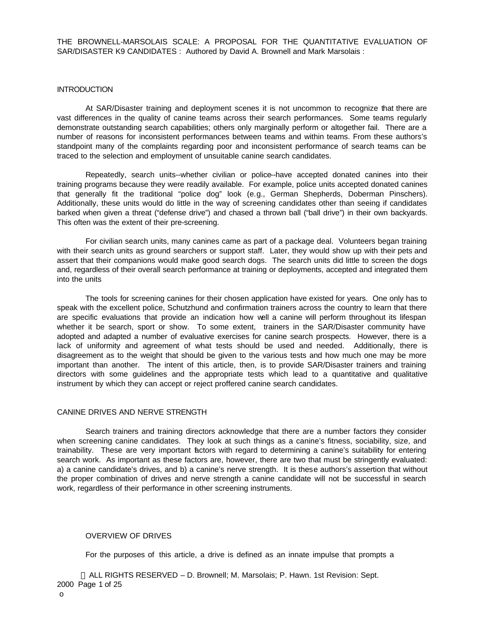THE BROWNELL-MARSOLAIS SCALE: A PROPOSAL FOR THE QUANTITATIVE EVALUATION OF SAR/DISASTER K9 CANDIDATES : Authored by David A. Brownell and Mark Marsolais :

#### **INTRODUCTION**

At SAR/Disaster training and deployment scenes it is not uncommon to recognize that there are vast differences in the quality of canine teams across their search performances. Some teams regularly demonstrate outstanding search capabilities; others only marginally perform or altogether fail. There are a number of reasons for inconsistent performances between teams and within teams. From these authors's standpoint many of the complaints regarding poor and inconsistent performance of search teams can be traced to the selection and employment of unsuitable canine search candidates.

Repeatedly, search units--whether civilian or police--have accepted donated canines into their training programs because they were readily available. For example, police units accepted donated canines that generally fit the traditional "police dog" look (e.g., German Shepherds, Doberman Pinschers). Additionally, these units would do little in the way of screening candidates other than seeing if candidates barked when given a threat ("defense drive") and chased a thrown ball ("ball drive") in their own backyards. This often was the extent of their pre-screening.

For civilian search units, many canines came as part of a package deal. Volunteers began training with their search units as ground searchers or support staff. Later, they would show up with their pets and assert that their companions would make good search dogs. The search units did little to screen the dogs and, regardless of their overall search performance at training or deployments, accepted and integrated them into the units

The tools for screening canines for their chosen application have existed for years. One only has to speak with the excellent police, Schutzhund and confirmation trainers across the country to learn that there are specific evaluations that provide an indication how well a canine will perform throughout its lifespan whether it be search, sport or show. To some extent, trainers in the SAR/Disaster community have adopted and adapted a number of evaluative exercises for canine search prospects. However, there is a lack of uniformity and agreement of what tests should be used and needed. Additionally, there is disagreement as to the weight that should be given to the various tests and how much one may be more important than another. The intent of this article, then, is to provide SAR/Disaster trainers and training directors with some guidelines and the appropriate tests which lead to a quantitative and qualitative instrument by which they can accept or reject proffered canine search candidates.

#### CANINE DRIVES AND NERVE STRENGTH

Search trainers and training directors acknowledge that there are a number factors they consider when screening canine candidates. They look at such things as a canine's fitness, sociability, size, and trainability. These are very important factors with regard to determining a canine's suitability for entering search work. As important as these factors are, however, there are two that must be stringently evaluated: a) a canine candidate's drives, and b) a canine's nerve strength. It is these authors's assertion that without the proper combination of drives and nerve strength a canine candidate will not be successful in search work, regardless of their performance in other screening instruments.

#### OVERVIEW OF DRIVES

For the purposes of this article, a drive is defined as an innate impulse that prompts a

 ALL RIGHTS RESERVED – D. Brownell; M. Marsolais; P. Hawn. 1st Revision: Sept. 2000 Page 1 of 25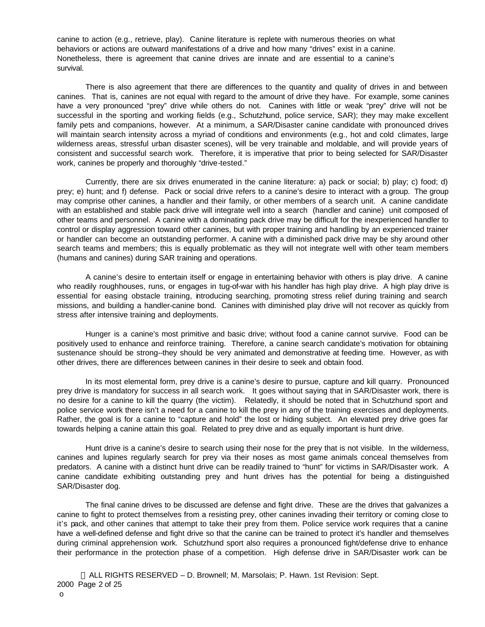canine to action (e.g., retrieve, play). Canine literature is replete with numerous theories on what behaviors or actions are outward manifestations of a drive and how many "drives" exist in a canine. Nonetheless, there is agreement that canine drives are innate and are essential to a canine's survival.

There is also agreement that there are differences to the quantity and quality of drives in and between canines. That is, canines are not equal with regard to the amount of drive they have. For example, some canines have a very pronounced "prey" drive while others do not. Canines with little or weak "prey" drive will not be successful in the sporting and working fields (e.g., Schutzhund, police service, SAR); they may make excellent family pets and companions, however. At a minimum, a SAR/Disaster canine candidate with pronounced drives will maintain search intensity across a myriad of conditions and environments (e.g., hot and cold climates, large wilderness areas, stressful urban disaster scenes), will be very trainable and moldable, and will provide years of consistent and successful search work. Therefore, it is imperative that prior to being selected for SAR/Disaster work, canines be properly and thoroughly "drive-tested."

Currently, there are six drives enumerated in the canine literature: a) pack or social; b) play; c) food; d) prey; e) hunt; and f) defense. Pack or social drive refers to a canine's desire to interact with a group. The group may comprise other canines, a handler and their family, or other members of a search unit. A canine candidate with an established and stable pack drive will integrate well into a search (handler and canine) unit composed of other teams and personnel. A canine with a dominating pack drive may be difficult for the inexperienced handler to control or display aggression toward other canines, but with proper training and handling by an experienced trainer or handler can become an outstanding performer. A canine with a diminished pack drive may be shy around other search teams and members; this is equally problematic as they will not integrate well with other team members (humans and canines) during SAR training and operations.

A canine's desire to entertain itself or engage in entertaining behavior with others is play drive. A canine who readily roughhouses, runs, or engages in tug-of-war with his handler has high play drive. A high play drive is essential for easing obstacle training, introducing searching, promoting stress relief during training and search missions, and building a handler-canine bond. Canines with diminished play drive will not recover as quickly from stress after intensive training and deployments.

Hunger is a canine's most primitive and basic drive; without food a canine cannot survive. Food can be positively used to enhance and reinforce training. Therefore, a canine search candidate's motivation for obtaining sustenance should be strong--they should be very animated and demonstrative at feeding time. However, as with other drives, there are differences between canines in their desire to seek and obtain food.

In its most elemental form, prey drive is a canine's desire to pursue, capture and kill quarry. Pronounced prey drive is mandatory for success in all search work. It goes without saying that in SAR/Disaster work, there is no desire for a canine to kill the quarry (the victim). Relatedly, it should be noted that in Schutzhund sport and police service work there isn't a need for a canine to kill the prey in any of the training exercises and deployments. Rather, the goal is for a canine to "capture and hold" the lost or hiding subject. An elevated prey drive goes far towards helping a canine attain this goal. Related to prey drive and as equally important is hunt drive.

Hunt drive is a canine's desire to search using their nose for the prey that is not visible. In the wilderness, canines and lupines regularly search for prey via their noses as most game animals conceal themselves from predators. A canine with a distinct hunt drive can be readily trained to "hunt" for victims in SAR/Disaster work. A canine candidate exhibiting outstanding prey and hunt drives has the potential for being a distinguished SAR/Disaster dog.

The final canine drives to be discussed are defense and fight drive. These are the drives that galvanizes a canine to fight to protect themselves from a resisting prey, other canines invading their territory or coming close to it's pack, and other canines that attempt to take their prey from them. Police service work requires that a canine have a well-defined defense and fight drive so that the canine can be trained to protect it's handler and themselves during criminal apprehension work. Schutzhund sport also requires a pronounced fight/defense drive to enhance their performance in the protection phase of a competition. High defense drive in SAR/Disaster work can be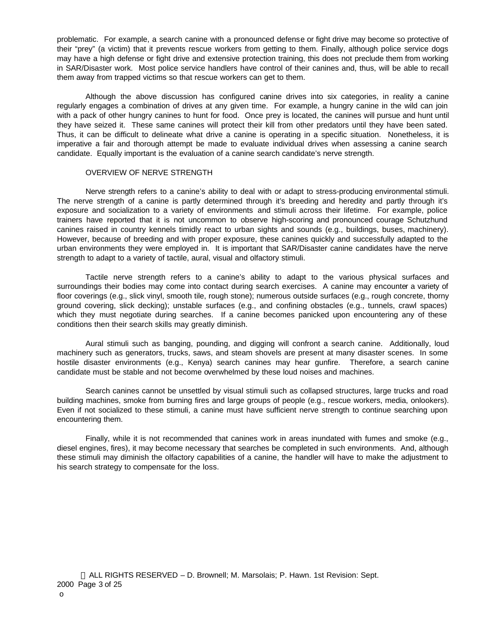problematic. For example, a search canine with a pronounced defense or fight drive may become so protective of their "prey" (a victim) that it prevents rescue workers from getting to them. Finally, although police service dogs may have a high defense or fight drive and extensive protection training, this does not preclude them from working in SAR/Disaster work. Most police service handlers have control of their canines and, thus, will be able to recall them away from trapped victims so that rescue workers can get to them.

Although the above discussion has configured canine drives into six categories, in reality a canine regularly engages a combination of drives at any given time. For example, a hungry canine in the wild can join with a pack of other hungry canines to hunt for food. Once prey is located, the canines will pursue and hunt until they have seized it. These same canines will protect their kill from other predators until they have been sated. Thus, it can be difficult to delineate what drive a canine is operating in a specific situation. Nonetheless, it is imperative a fair and thorough attempt be made to evaluate individual drives when assessing a canine search candidate. Equally important is the evaluation of a canine search candidate's nerve strength.

#### OVERVIEW OF NERVE STRENGTH

Nerve strength refers to a canine's ability to deal with or adapt to stress-producing environmental stimuli. The nerve strength of a canine is partly determined through it's breeding and heredity and partly through it's exposure and socialization to a variety of environments and stimuli across their lifetime. For example, police trainers have reported that it is not uncommon to observe high-scoring and pronounced courage Schutzhund canines raised in country kennels timidly react to urban sights and sounds (e.g., buildings, buses, machinery). However, because of breeding and with proper exposure, these canines quickly and successfully adapted to the urban environments they were employed in. It is important that SAR/Disaster canine candidates have the nerve strength to adapt to a variety of tactile, aural, visual and olfactory stimuli.

Tactile nerve strength refers to a canine's ability to adapt to the various physical surfaces and surroundings their bodies may come into contact during search exercises. A canine may encounter a variety of floor coverings (e.g., slick vinyl, smooth tile, rough stone); numerous outside surfaces (e.g., rough concrete, thorny ground covering, slick decking); unstable surfaces (e.g., and confining obstacles (e.g., tunnels, crawl spaces) which they must negotiate during searches. If a canine becomes panicked upon encountering any of these conditions then their search skills may greatly diminish.

Aural stimuli such as banging, pounding, and digging will confront a search canine. Additionally, loud machinery such as generators, trucks, saws, and steam shovels are present at many disaster scenes. In some hostile disaster environments (e.g., Kenya) search canines may hear gunfire. Therefore, a search canine candidate must be stable and not become overwhelmed by these loud noises and machines.

Search canines cannot be unsettled by visual stimuli such as collapsed structures, large trucks and road building machines, smoke from burning fires and large groups of people (e.g., rescue workers, media, onlookers). Even if not socialized to these stimuli, a canine must have sufficient nerve strength to continue searching upon encountering them.

Finally, while it is not recommended that canines work in areas inundated with fumes and smoke (e.g., diesel engines, fires), it may become necessary that searches be completed in such environments. And, although these stimuli may diminish the olfactory capabilities of a canine, the handler will have to make the adjustment to his search strategy to compensate for the loss.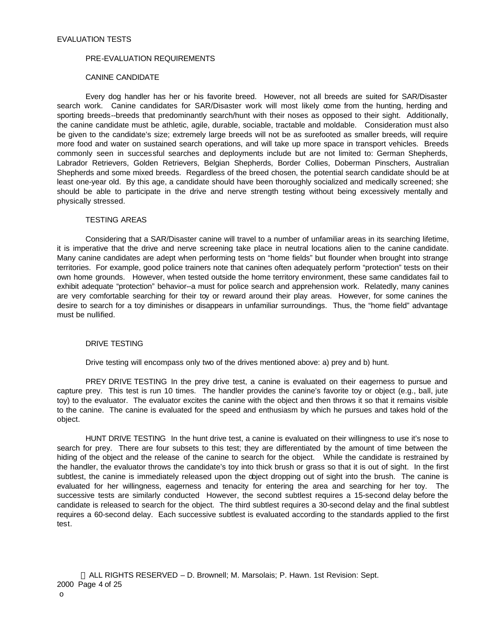#### EVALUATION TESTS

#### PRE-EVALUATION REQUIREMENTS

#### CANINE CANDIDATE

Every dog handler has her or his favorite breed. However, not all breeds are suited for SAR/Disaster search work. Canine candidates for SAR/Disaster work will most likely come from the hunting, herding and sporting breeds--breeds that predominantly search/hunt with their noses as opposed to their sight. Additionally, the canine candidate must be athletic, agile, durable, sociable, tractable and moldable. Consideration must also be given to the candidate's size; extremely large breeds will not be as surefooted as smaller breeds, will require more food and water on sustained search operations, and will take up more space in transport vehicles. Breeds commonly seen in successful searches and deployments include but are not limited to: German Shepherds, Labrador Retrievers, Golden Retrievers, Belgian Shepherds, Border Collies, Doberman Pinschers, Australian Shepherds and some mixed breeds. Regardless of the breed chosen, the potential search candidate should be at least one-year old. By this age, a candidate should have been thoroughly socialized and medically screened; she should be able to participate in the drive and nerve strength testing without being excessively mentally and physically stressed.

#### TESTING AREAS

Considering that a SAR/Disaster canine will travel to a number of unfamiliar areas in its searching lifetime, it is imperative that the drive and nerve screening take place in neutral locations alien to the canine candidate. Many canine candidates are adept when performing tests on "home fields" but flounder when brought into strange territories. For example, good police trainers note that canines often adequately perform "protection" tests on their own home grounds. However, when tested outside the home territory environment, these same candidates fail to exhibit adequate "protection" behavior--a must for police search and apprehension work. Relatedly, many canines are very comfortable searching for their toy or reward around their play areas. However, for some canines the desire to search for a toy diminishes or disappears in unfamiliar surroundings. Thus, the "home field" advantage must be nullified.

#### DRIVE TESTING

Drive testing will encompass only two of the drives mentioned above: a) prey and b) hunt.

PREY DRIVE TESTING In the prey drive test, a canine is evaluated on their eagerness to pursue and capture prey. This test is run 10 times. The handler provides the canine's favorite toy or object (e.g., ball, jute toy) to the evaluator. The evaluator excites the canine with the object and then throws it so that it remains visible to the canine. The canine is evaluated for the speed and enthusiasm by which he pursues and takes hold of the object.

HUNT DRIVE TESTING In the hunt drive test, a canine is evaluated on their willingness to use it's nose to search for prey. There are four subsets to this test; they are differentiated by the amount of time between the hiding of the object and the release of the canine to search for the object. While the candidate is restrained by the handler, the evaluator throws the candidate's toy into thick brush or grass so that it is out of sight. In the first subtlest, the canine is immediately released upon the object dropping out of sight into the brush. The canine is evaluated for her willingness, eagerness and tenacity for entering the area and searching for her toy. The successive tests are similarly conducted However, the second subtlest requires a 15-second delay before the candidate is released to search for the object. The third subtlest requires a 30-second delay and the final subtlest requires a 60-second delay. Each successive subtlest is evaluated according to the standards applied to the first test.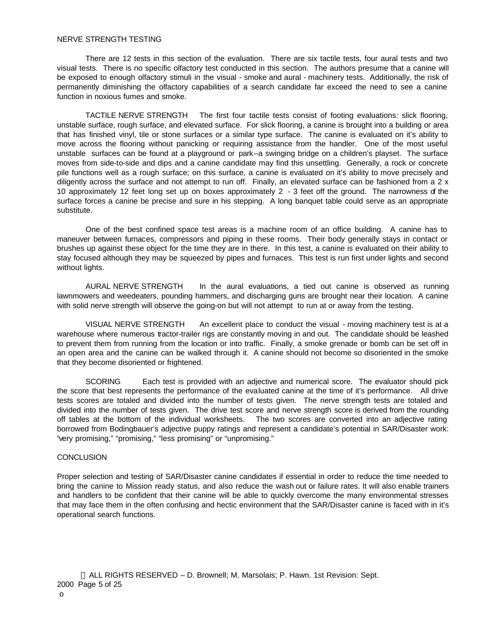#### NERVE STRENGTH TESTING

There are 12 tests in this section of the evaluation. There are six tactile tests, four aural tests and two visual tests. There is no specific olfactory test conducted in this section. The authors presume that a canine will be exposed to enough olfactory stimuli in the visual - smoke and aural - machinery tests. Additionally, the risk of permanently diminishing the olfactory capabilities of a search candidate far exceed the need to see a canine function in noxious fumes and smoke.

TACTILE NERVE STRENGTH The first four tactile tests consist of footing evaluations: slick flooring, unstable surface, rough surface, and elevated surface. For slick flooring, a canine is brought into a building or area that has finished vinyl, tile or stone surfaces or a similar type surface. The canine is evaluated on it's ability to move across the flooring without panicking or requiring assistance from the handler. One of the most useful unstable surfaces can be found at a playground or park--a swinging bridge on a children's playset. The surface moves from side-to-side and dips and a canine candidate may find this unsettling. Generally, a rock or concrete pile functions well as a rough surface; on this surface, a canine is evaluated on it's ability to move precisely and diligently across the surface and not attempt to run off. Finally, an elevated surface can be fashioned from a 2 x 10 approximately 12 feet long set up on boxes approximately 2 - 3 feet off the ground. The narrowness of the surface forces a canine be precise and sure in his stepping. A long banquet table could serve as an appropriate substitute.

One of the best confined space test areas is a machine room of an office building. A canine has to maneuver between furnaces, compressors and piping in these rooms. Their body generally stays in contact or brushes up against these object for the time they are in there. In this test, a canine is evaluated on their ability to stay focused although they may be squeezed by pipes and furnaces. This test is run first under lights and second without lights.

AURAL NERVE STRENGTH In the aural evaluations, a tied out canine is observed as running lawnmowers and weedeaters, pounding hammers, and discharging guns are brought near their location. A canine with solid nerve strength will observe the going-on but will not attempt to run at or away from the testing.

VISUAL NERVE STRENGTH An excellent place to conduct the visual - moving machinery test is at a warehouse where numerous tractor-trailer rigs are constantly moving in and out. The candidate should be leashed to prevent them from running from the location or into traffic. Finally, a smoke grenade or bomb can be set off in an open area and the canine can be walked through it. A canine should not become so disoriented in the smoke that they become disoriented or frightened.

SCORING Each test is provided with an adjective and numerical score. The evaluator should pick the score that best represents the performance of the evaluated canine at the time of it's performance. All drive tests scores are totaled and divided into the number of tests given. The nerve strength tests are totaled and divided into the number of tests given. The drive test score and nerve strength score is derived from the rounding off tables at the bottom of the individual worksheets. The two scores are converted into an adjective rating borrowed from Bodingbauer's adjective puppy ratings and represent a candidate's potential in SAR/Disaster work: "very promising," "promising," "less promising" or "unpromising."

#### **CONCLUSION**

Proper selection and testing of SAR/Disaster canine candidates if essential in order to reduce the time needed to bring the canine to Mission ready status, and also reduce the wash out or failure rates. It will also enable trainers and handlers to be confident that their canine will be able to quickly overcome the many environmental stresses that may face them in the often confusing and hectic environment that the SAR/Disaster canine is faced with in it's operational search functions.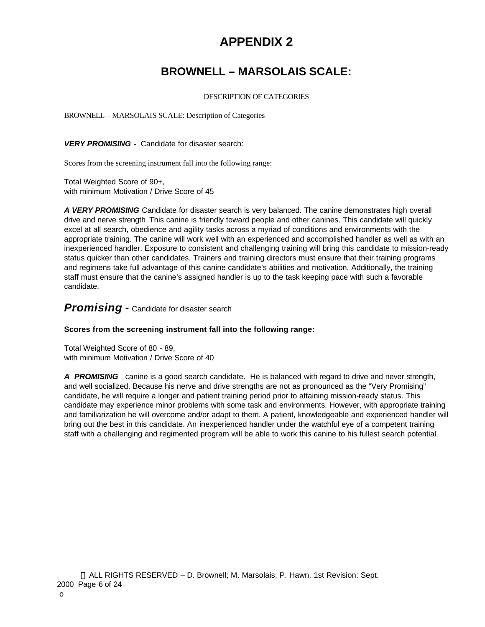# **APPENDIX 2**

# **BROWNELL – MARSOLAIS SCALE:**

#### DESCRIPTION OF CATEGORIES

BROWNELL – MARSOLAIS SCALE: Description of Categories

*VERY PROMISING -* Candidate for disaster search:

Scores from the screening instrument fall into the following range:

Total Weighted Score of 90+, with minimum Motivation / Drive Score of 45

*A VERY PROMISING* Candidate for disaster search is very balanced. The canine demonstrates high overall drive and nerve strength. This canine is friendly toward people and other canines. This candidate will quickly excel at all search, obedience and agility tasks across a myriad of conditions and environments with the appropriate training. The canine will work well with an experienced and accomplished handler as well as with an inexperienced handler. Exposure to consistent and challenging training will bring this candidate to mission-ready status quicker than other candidates. Trainers and training directors must ensure that their training programs and regimens take full advantage of this canine candidate's abilities and motivation. Additionally, the training staff must ensure that the canine's assigned handler is up to the task keeping pace with such a favorable candidate.

#### *Promising -* Candidate for disaster search

#### **Scores from the screening instrument fall into the following range:**

Total Weighted Score of 80 - 89, with minimum Motivation / Drive Score of 40

*A PROMISING* canine is a good search candidate. He is balanced with regard to drive and never strength, and well socialized. Because his nerve and drive strengths are not as pronounced as the "Very Promising" candidate, he will require a longer and patient training period prior to attaining mission-ready status. This candidate may experience minor problems with some task and environments. However, with appropriate training and familiarization he will overcome and/or adapt to them. A patient, knowledgeable and experienced handler will bring out the best in this candidate. An inexperienced handler under the watchful eye of a competent training staff with a challenging and regimented program will be able to work this canine to his fullest search potential.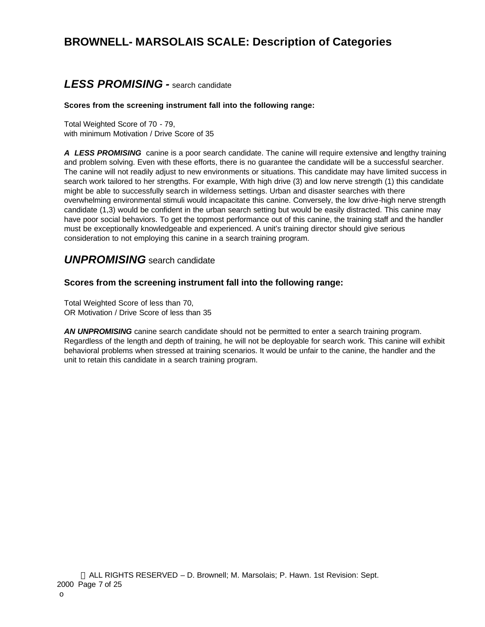# **BROWNELL- MARSOLAIS SCALE: Description of Categories**

## *LESS PROMISING -* search candidate

#### **Scores from the screening instrument fall into the following range:**

Total Weighted Score of 70 - 79, with minimum Motivation / Drive Score of 35

*A LESS PROMISING* canine is a poor search candidate. The canine will require extensive and lengthy training and problem solving. Even with these efforts, there is no guarantee the candidate will be a successful searcher. The canine will not readily adjust to new environments or situations. This candidate may have limited success in search work tailored to her strengths. For example, With high drive (3) and low nerve strength (1) this candidate might be able to successfully search in wilderness settings. Urban and disaster searches with there overwhelming environmental stimuli would incapacitate this canine. Conversely, the low drive-high nerve strength candidate (1,3) would be confident in the urban search setting but would be easily distracted. This canine may have poor social behaviors. To get the topmost performance out of this canine, the training staff and the handler must be exceptionally knowledgeable and experienced. A unit's training director should give serious consideration to not employing this canine in a search training program.

### *UNPROMISING* search candidate

#### **Scores from the screening instrument fall into the following range:**

Total Weighted Score of less than 70, OR Motivation / Drive Score of less than 35

AN UNPROMISING canine search candidate should not be permitted to enter a search training program. Regardless of the length and depth of training, he will not be deployable for search work. This canine will exhibit behavioral problems when stressed at training scenarios. It would be unfair to the canine, the handler and the unit to retain this candidate in a search training program.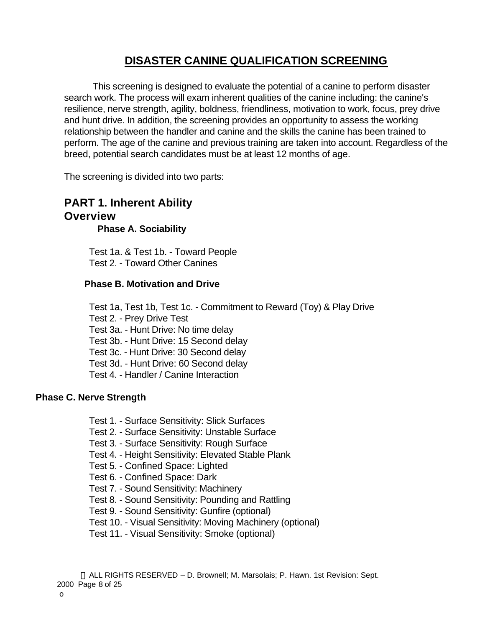# **DISASTER CANINE QUALIFICATION SCREENING**

This screening is designed to evaluate the potential of a canine to perform disaster search work. The process will exam inherent qualities of the canine including: the canine's resilience, nerve strength, agility, boldness, friendliness, motivation to work, focus, prey drive and hunt drive. In addition, the screening provides an opportunity to assess the working relationship between the handler and canine and the skills the canine has been trained to perform. The age of the canine and previous training are taken into account. Regardless of the breed, potential search candidates must be at least 12 months of age.

The screening is divided into two parts:

# **PART 1. Inherent Ability Overview**

**Phase A. Sociability**

Test 1a. & Test 1b. - Toward People Test 2. - Toward Other Canines

#### **Phase B. Motivation and Drive**

Test 1a, Test 1b, Test 1c. - Commitment to Reward (Toy) & Play Drive Test 2. - Prey Drive Test Test 3a. - Hunt Drive: No time delay Test 3b. - Hunt Drive: 15 Second delay Test 3c. - Hunt Drive: 30 Second delay Test 3d. - Hunt Drive: 60 Second delay Test 4. - Handler / Canine Interaction

#### **Phase C. Nerve Strength**

- Test 1. Surface Sensitivity: Slick Surfaces
- Test 2. Surface Sensitivity: Unstable Surface
- Test 3. Surface Sensitivity: Rough Surface
- Test 4. Height Sensitivity: Elevated Stable Plank
- Test 5. Confined Space: Lighted
- Test 6. Confined Space: Dark
- Test 7. Sound Sensitivity: Machinery
- Test 8. Sound Sensitivity: Pounding and Rattling
- Test 9. Sound Sensitivity: Gunfire (optional)
- Test 10. Visual Sensitivity: Moving Machinery (optional)
- Test 11. Visual Sensitivity: Smoke (optional)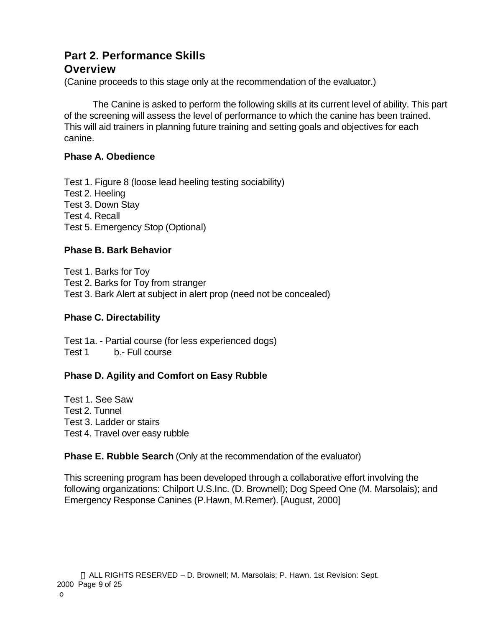# **Part 2. Performance Skills**

## **Overview**

(Canine proceeds to this stage only at the recommendation of the evaluator.)

The Canine is asked to perform the following skills at its current level of ability. This part of the screening will assess the level of performance to which the canine has been trained. This will aid trainers in planning future training and setting goals and objectives for each canine.

## **Phase A. Obedience**

Test 1. Figure 8 (loose lead heeling testing sociability) Test 2. Heeling Test 3. Down Stay Test 4. Recall Test 5. Emergency Stop (Optional)

## **Phase B. Bark Behavior**

Test 1. Barks for Toy Test 2. Barks for Toy from stranger Test 3. Bark Alert at subject in alert prop (need not be concealed)

## **Phase C. Directability**

Test 1a. - Partial course (for less experienced dogs) Test 1 b.- Full course

## **Phase D. Agility and Comfort on Easy Rubble**

Test 1. See Saw Test 2. Tunnel Test 3. Ladder or stairs Test 4. Travel over easy rubble

## **Phase E. Rubble Search** (Only at the recommendation of the evaluator)

This screening program has been developed through a collaborative effort involving the following organizations: Chilport U.S.Inc. (D. Brownell); Dog Speed One (M. Marsolais); and Emergency Response Canines (P.Hawn, M.Remer). [August, 2000]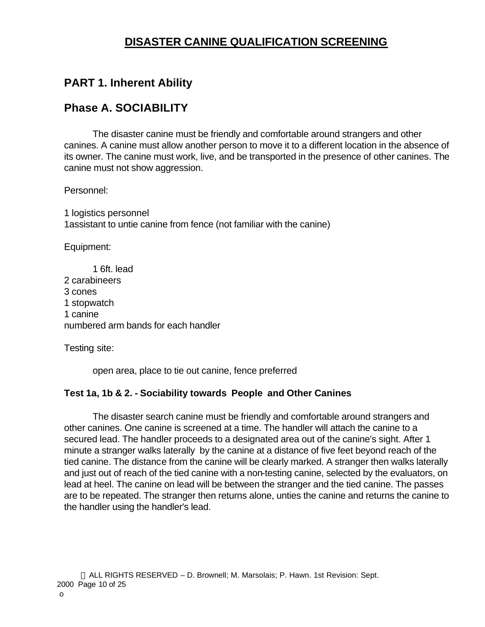# **DISASTER CANINE QUALIFICATION SCREENING**

# **PART 1. Inherent Ability**

## **Phase A. SOCIABILITY**

The disaster canine must be friendly and comfortable around strangers and other canines. A canine must allow another person to move it to a different location in the absence of its owner. The canine must work, live, and be transported in the presence of other canines. The canine must not show aggression.

Personnel:

1 logistics personnel 1assistant to untie canine from fence (not familiar with the canine)

Equipment:

1 6ft. lead 2 carabineers 3 cones 1 stopwatch 1 canine numbered arm bands for each handler

Testing site:

open area, place to tie out canine, fence preferred

### **Test 1a, 1b & 2. - Sociability towards People and Other Canines**

The disaster search canine must be friendly and comfortable around strangers and other canines. One canine is screened at a time. The handler will attach the canine to a secured lead. The handler proceeds to a designated area out of the canine's sight. After 1 minute a stranger walks laterally by the canine at a distance of five feet beyond reach of the tied canine. The distance from the canine will be clearly marked. A stranger then walks laterally and just out of reach of the tied canine with a non-testing canine, selected by the evaluators, on lead at heel. The canine on lead will be between the stranger and the tied canine. The passes are to be repeated. The stranger then returns alone, unties the canine and returns the canine to the handler using the handler's lead.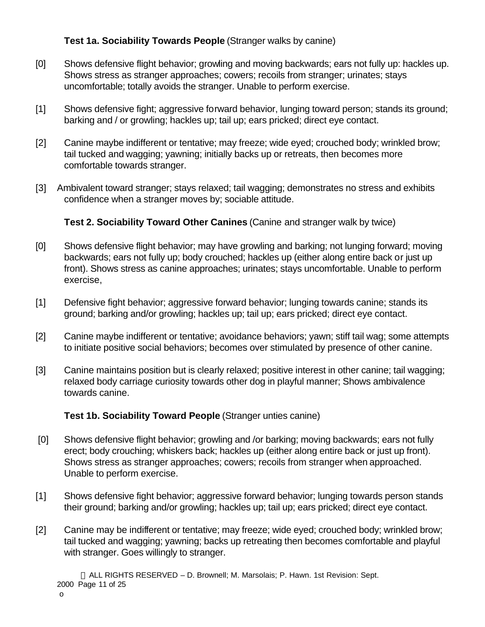### **Test 1a. Sociability Towards People** (Stranger walks by canine)

- [0] Shows defensive flight behavior; growling and moving backwards; ears not fully up: hackles up. Shows stress as stranger approaches; cowers; recoils from stranger; urinates; stays uncomfortable; totally avoids the stranger. Unable to perform exercise.
- [1] Shows defensive fight; aggressive forward behavior, lunging toward person; stands its ground; barking and / or growling; hackles up; tail up; ears pricked; direct eye contact.
- [2] Canine maybe indifferent or tentative; may freeze; wide eyed; crouched body; wrinkled brow; tail tucked and wagging; yawning; initially backs up or retreats, then becomes more comfortable towards stranger.
- [3] Ambivalent toward stranger; stays relaxed; tail wagging; demonstrates no stress and exhibits confidence when a stranger moves by; sociable attitude.

### **Test 2. Sociability Toward Other Canines** (Canine and stranger walk by twice)

- [0] Shows defensive flight behavior; may have growling and barking; not lunging forward; moving backwards; ears not fully up; body crouched; hackles up (either along entire back or just up front). Shows stress as canine approaches; urinates; stays uncomfortable. Unable to perform exercise,
- [1] Defensive fight behavior; aggressive forward behavior; lunging towards canine; stands its ground; barking and/or growling; hackles up; tail up; ears pricked; direct eye contact.
- [2] Canine maybe indifferent or tentative; avoidance behaviors; yawn; stiff tail wag; some attempts to initiate positive social behaviors; becomes over stimulated by presence of other canine.
- [3] Canine maintains position but is clearly relaxed; positive interest in other canine; tail wagging; relaxed body carriage curiosity towards other dog in playful manner; Shows ambivalence towards canine.

### **Test 1b. Sociability Toward People** (Stranger unties canine)

- [0] Shows defensive flight behavior; growling and /or barking; moving backwards; ears not fully erect; body crouching; whiskers back; hackles up (either along entire back or just up front). Shows stress as stranger approaches; cowers; recoils from stranger when approached. Unable to perform exercise.
- [1] Shows defensive fight behavior; aggressive forward behavior; lunging towards person stands their ground; barking and/or growling; hackles up; tail up; ears pricked; direct eye contact.
- [2] Canine may be indifferent or tentative; may freeze; wide eyed; crouched body; wrinkled brow; tail tucked and wagging; yawning; backs up retreating then becomes comfortable and playful with stranger. Goes willingly to stranger.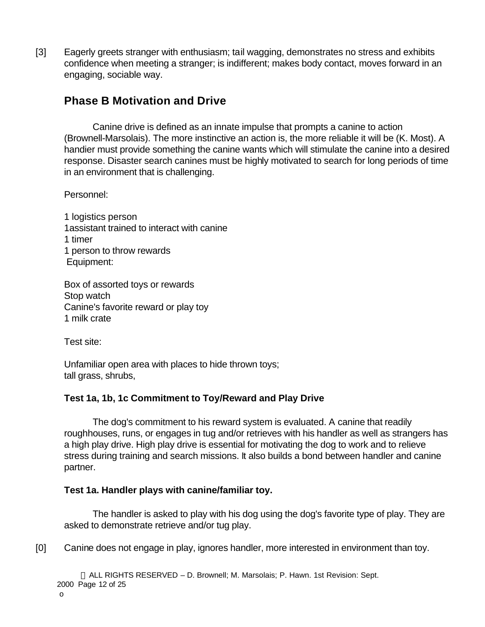[3] Eagerly greets stranger with enthusiasm; tail wagging, demonstrates no stress and exhibits confidence when meeting a stranger; is indifferent; makes body contact, moves forward in an engaging, sociable way.

# **Phase B Motivation and Drive**

Canine drive is defined as an innate impulse that prompts a canine to action (Brownell-Marsolais). The more instinctive an action is, the more reliable it will be (K. Most). A handier must provide something the canine wants which will stimulate the canine into a desired response. Disaster search canines must be highly motivated to search for long periods of time in an environment that is challenging.

Personnel:

1 logistics person 1assistant trained to interact with canine 1 timer 1 person to throw rewards Equipment:

Box of assorted toys or rewards Stop watch Canine's favorite reward or play toy 1 milk crate

Test site:

Unfamiliar open area with places to hide thrown toys; tall grass, shrubs,

### **Test 1a, 1b, 1c Commitment to Toy/Reward and Play Drive**

The dog's commitment to his reward system is evaluated. A canine that readily roughhouses, runs, or engages in tug and/or retrieves with his handler as well as strangers has a high play drive. High play drive is essential for motivating the dog to work and to relieve stress during training and search missions. It also builds a bond between handler and canine partner.

#### **Test 1a. Handler plays with canine/familiar toy.**

The handler is asked to play with his dog using the dog's favorite type of play. They are asked to demonstrate retrieve and/or tug play.

[0] Canine does not engage in play, ignores handler, more interested in environment than toy.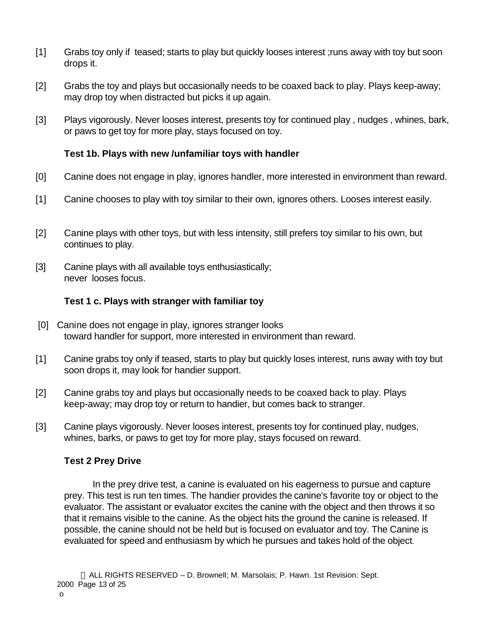- [1] Grabs toy only if teased; starts to play but quickly looses interest ;runs away with toy but soon drops it.
- [2] Grabs the toy and plays but occasionally needs to be coaxed back to play. Plays keep-away; may drop toy when distracted but picks it up again.
- [3] Plays vigorously. Never looses interest, presents toy for continued play , nudges , whines, bark, or paws to get toy for more play, stays focused on toy.

### **Test 1b. Plays with new /unfamiliar toys with handler**

- [0] Canine does not engage in play, ignores handler, more interested in environment than reward.
- [1] Canine chooses to play with toy similar to their own, ignores others. Looses interest easily.
- [2] Canine plays with other toys, but with less intensity, still prefers toy similar to his own, but continues to play.
- [3] Canine plays with all available toys enthusiastically; never looses focus.

#### **Test 1 c. Plays with stranger with familiar toy**

- [0] Canine does not engage in play, ignores stranger looks toward handler for support, more interested in environment than reward.
- [1] Canine grabs toy only if teased, starts to play but quickly loses interest, runs away with toy but soon drops it, may look for handier support.
- [2] Canine grabs toy and plays but occasionally needs to be coaxed back to play. Plays keep-away; may drop toy or return to handier, but comes back to stranger.
- [3] Canine plays vigorously. Never looses interest, presents toy for continued play, nudges, whines, barks, or paws to get toy for more play, stays focused on reward.

#### **Test 2 Prey Drive**

In the prey drive test, a canine is evaluated on his eagerness to pursue and capture prey. This test is run ten times. The handier provides the canine's favorite toy or object to the evaluator. The assistant or evaluator excites the canine with the object and then throws it so that it remains visible to the canine. As the object hits the ground the canine is released. If possible, the canine should not be held but is focused on evaluator and toy. The Canine is evaluated for speed and enthusiasm by which he pursues and takes hold of the object.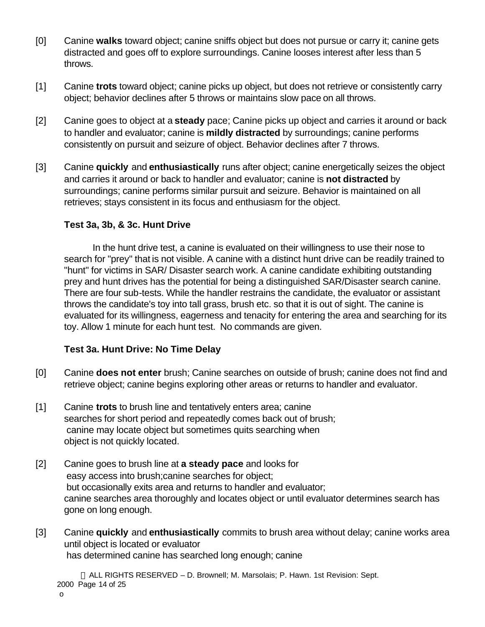- [0] Canine **walks** toward object; canine sniffs object but does not pursue or carry it; canine gets distracted and goes off to explore surroundings. Canine looses interest after less than 5 throws.
- [1] Canine **trots** toward object; canine picks up object, but does not retrieve or consistently carry object; behavior declines after 5 throws or maintains slow pace on all throws.
- [2] Canine goes to object at a **steady** pace; Canine picks up object and carries it around or back to handler and evaluator; canine is **mildly distracted** by surroundings; canine performs consistently on pursuit and seizure of object. Behavior declines after 7 throws.
- [3] Canine **quickly** and **enthusiastically** runs after object; canine energetically seizes the object and carries it around or back to handler and evaluator; canine is **not distracted** by surroundings; canine performs similar pursuit and seizure. Behavior is maintained on all retrieves; stays consistent in its focus and enthusiasm for the object.

#### **Test 3a, 3b, & 3c. Hunt Drive**

In the hunt drive test, a canine is evaluated on their willingness to use their nose to search for "prey" that is not visible. A canine with a distinct hunt drive can be readily trained to "hunt" for victims in SAR/ Disaster search work. A canine candidate exhibiting outstanding prey and hunt drives has the potential for being a distinguished SAR/Disaster search canine. There are four sub-tests. While the handler restrains the candidate, the evaluator or assistant throws the candidate's toy into tall grass, brush etc. so that it is out of sight. The canine is evaluated for its willingness, eagerness and tenacity for entering the area and searching for its toy. Allow 1 minute for each hunt test. No commands are given.

### **Test 3a. Hunt Drive: No Time Delay**

- [0] Canine **does not enter** brush; Canine searches on outside of brush; canine does not find and retrieve object; canine begins exploring other areas or returns to handler and evaluator.
- [1] Canine **trots** to brush line and tentatively enters area; canine searches for short period and repeatedly comes back out of brush; canine may locate object but sometimes quits searching when object is not quickly located.
- [2] Canine goes to brush line at **a steady pace** and looks for easy access into brush;canine searches for object; but occasionally exits area and returns to handler and evaluator; canine searches area thoroughly and locates object or until evaluator determines search has gone on long enough.
- [3] Canine **quickly** and **enthusiastically** commits to brush area without delay; canine works area until object is located or evaluator has determined canine has searched long enough; canine

 ALL RIGHTS RESERVED – D. Brownell; M. Marsolais; P. Hawn. 1st Revision: Sept. 2000 Page 14 of 25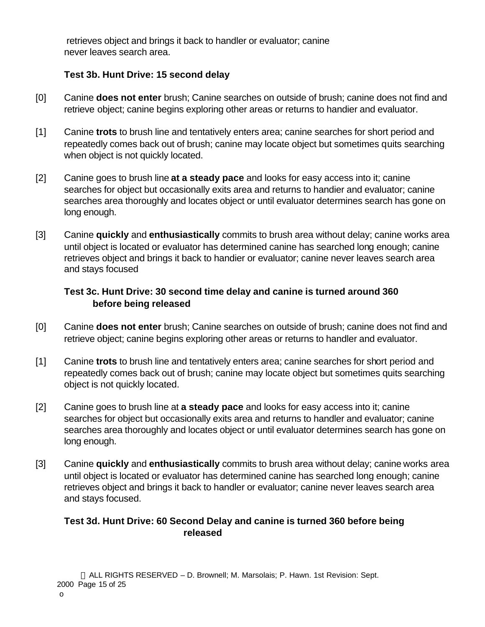retrieves object and brings it back to handler or evaluator; canine never leaves search area.

## **Test 3b. Hunt Drive: 15 second delay**

- [0] Canine **does not enter** brush; Canine searches on outside of brush; canine does not find and retrieve object; canine begins exploring other areas or returns to handier and evaluator.
- [1] Canine **trots** to brush line and tentatively enters area; canine searches for short period and repeatedly comes back out of brush; canine may locate object but sometimes quits searching when object is not quickly located.
- [2] Canine goes to brush line **at a steady pace** and looks for easy access into it; canine searches for object but occasionally exits area and returns to handier and evaluator; canine searches area thoroughly and locates object or until evaluator determines search has gone on long enough.
- [3] Canine **quickly** and **enthusiastically** commits to brush area without delay; canine works area until object is located or evaluator has determined canine has searched long enough; canine retrieves object and brings it back to handier or evaluator; canine never leaves search area and stays focused

## **Test 3c. Hunt Drive: 30 second time delay and canine is turned around 360 before being released**

- [0] Canine **does not enter** brush; Canine searches on outside of brush; canine does not find and retrieve object; canine begins exploring other areas or returns to handler and evaluator.
- [1] Canine **trots** to brush line and tentatively enters area; canine searches for short period and repeatedly comes back out of brush; canine may locate object but sometimes quits searching object is not quickly located.
- [2] Canine goes to brush line at **a steady pace** and looks for easy access into it; canine searches for object but occasionally exits area and returns to handler and evaluator; canine searches area thoroughly and locates object or until evaluator determines search has gone on long enough.
- [3] Canine **quickly** and **enthusiastically** commits to brush area without delay; canine works area until object is located or evaluator has determined canine has searched long enough; canine retrieves object and brings it back to handler or evaluator; canine never leaves search area and stays focused.

### **Test 3d. Hunt Drive: 60 Second Delay and canine is turned 360 before being released**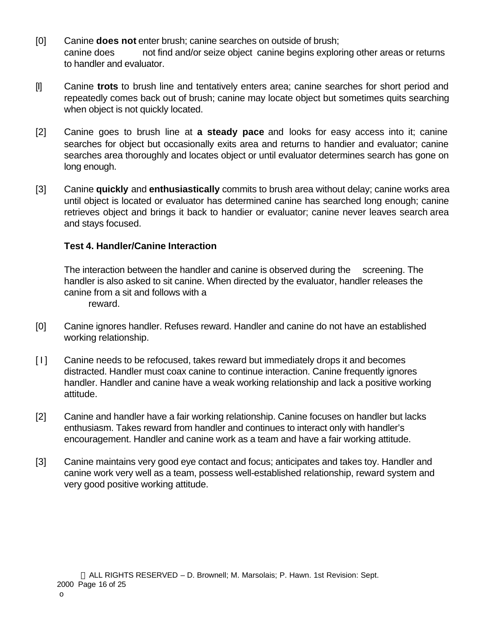- [0] Canine **does not** enter brush; canine searches on outside of brush; canine does not find and/or seize object canine begins exploring other areas or returns to handler and evaluator.
- [I] Canine **trots** to brush line and tentatively enters area; canine searches for short period and repeatedly comes back out of brush; canine may locate object but sometimes quits searching when object is not quickly located.
- [2] Canine goes to brush line at **a steady pace** and looks for easy access into it; canine searches for object but occasionally exits area and returns to handier and evaluator; canine searches area thoroughly and locates object or until evaluator determines search has gone on long enough.
- [3] Canine **quickly** and **enthusiastically** commits to brush area without delay; canine works area until object is located or evaluator has determined canine has searched long enough; canine retrieves object and brings it back to handier or evaluator; canine never leaves search area and stays focused.

#### **Test 4. Handler/Canine Interaction**

The interaction between the handler and canine is observed during the screening. The handler is also asked to sit canine. When directed by the evaluator, handler releases the canine from a sit and follows with a reward.

- [0] Canine ignores handler. Refuses reward. Handler and canine do not have an established working relationship.
- [1] Canine needs to be refocused, takes reward but immediately drops it and becomes distracted. Handler must coax canine to continue interaction. Canine frequently ignores handler. Handler and canine have a weak working relationship and lack a positive working attitude.
- [2] Canine and handler have a fair working relationship. Canine focuses on handler but lacks enthusiasm. Takes reward from handler and continues to interact only with handler's encouragement. Handler and canine work as a team and have a fair working attitude.
- [3] Canine maintains very good eye contact and focus; anticipates and takes toy. Handler and canine work very well as a team, possess well-established relationship, reward system and very good positive working attitude.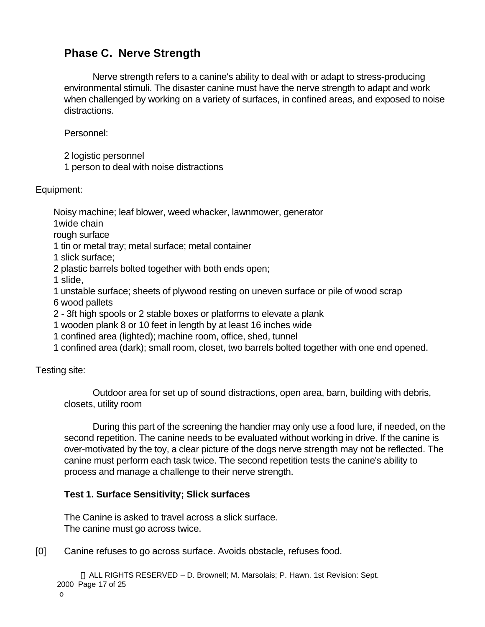# **Phase C. Nerve Strength**

Nerve strength refers to a canine's ability to deal with or adapt to stress-producing environmental stimuli. The disaster canine must have the nerve strength to adapt and work when challenged by working on a variety of surfaces, in confined areas, and exposed to noise distractions.

Personnel:

2 logistic personnel

1 person to deal with noise distractions

Equipment:

Noisy machine; leaf blower, weed whacker, lawnmower, generator

1wide chain

rough surface

1 tin or metal tray; metal surface; metal container

1 slick surface;

2 plastic barrels bolted together with both ends open;

1 slide,

1 unstable surface; sheets of plywood resting on uneven surface or pile of wood scrap 6 wood pallets

2 - 3ft high spools or 2 stable boxes or platforms to elevate a plank

1 wooden plank 8 or 10 feet in length by at least 16 inches wide

1 confined area (lighted); machine room, office, shed, tunnel

1 confined area (dark); small room, closet, two barrels bolted together with one end opened.

### Testing site:

Outdoor area for set up of sound distractions, open area, barn, building with debris, closets, utility room

During this part of the screening the handier may only use a food lure, if needed, on the second repetition. The canine needs to be evaluated without working in drive. If the canine is over-motivated by the toy, a clear picture of the dogs nerve strength may not be reflected. The canine must perform each task twice. The second repetition tests the canine's ability to process and manage a challenge to their nerve strength.

## **Test 1. Surface Sensitivity; Slick surfaces**

The Canine is asked to travel across a slick surface. The canine must go across twice.

[0] Canine refuses to go across surface. Avoids obstacle, refuses food.

 ALL RIGHTS RESERVED – D. Brownell; M. Marsolais; P. Hawn. 1st Revision: Sept. 2000 Page 17 of 25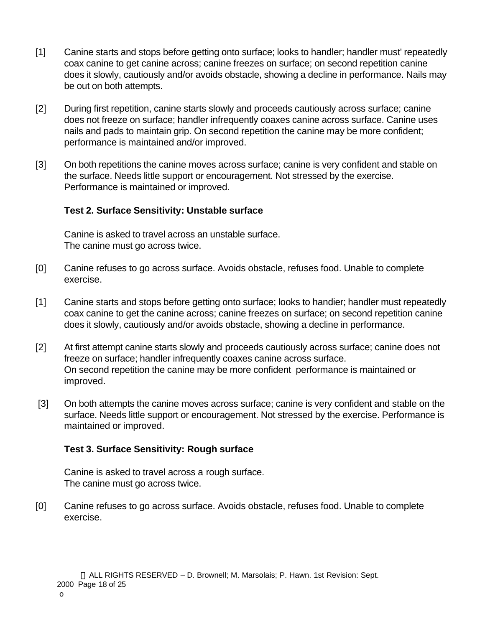- [1] Canine starts and stops before getting onto surface; looks to handler; handler must' repeatedly coax canine to get canine across; canine freezes on surface; on second repetition canine does it slowly, cautiously and/or avoids obstacle, showing a decline in performance. Nails may be out on both attempts.
- [2] During first repetition, canine starts slowly and proceeds cautiously across surface; canine does not freeze on surface; handler infrequently coaxes canine across surface. Canine uses nails and pads to maintain grip. On second repetition the canine may be more confident; performance is maintained and/or improved.
- [3] On both repetitions the canine moves across surface; canine is very confident and stable on the surface. Needs little support or encouragement. Not stressed by the exercise. Performance is maintained or improved.

### **Test 2. Surface Sensitivity: Unstable surface**

Canine is asked to travel across an unstable surface. The canine must go across twice.

- [0] Canine refuses to go across surface. Avoids obstacle, refuses food. Unable to complete exercise.
- [1] Canine starts and stops before getting onto surface; looks to handier; handler must repeatedly coax canine to get the canine across; canine freezes on surface; on second repetition canine does it slowly, cautiously and/or avoids obstacle, showing a decline in performance.
- [2] At first attempt canine starts slowly and proceeds cautiously across surface; canine does not freeze on surface; handler infrequently coaxes canine across surface. On second repetition the canine may be more confident performance is maintained or improved.
- [3] On both attempts the canine moves across surface; canine is very confident and stable on the surface. Needs little support or encouragement. Not stressed by the exercise. Performance is maintained or improved.

#### **Test 3. Surface Sensitivity: Rough surface**

Canine is asked to travel across a rough surface. The canine must go across twice.

[0] Canine refuses to go across surface. Avoids obstacle, refuses food. Unable to complete exercise.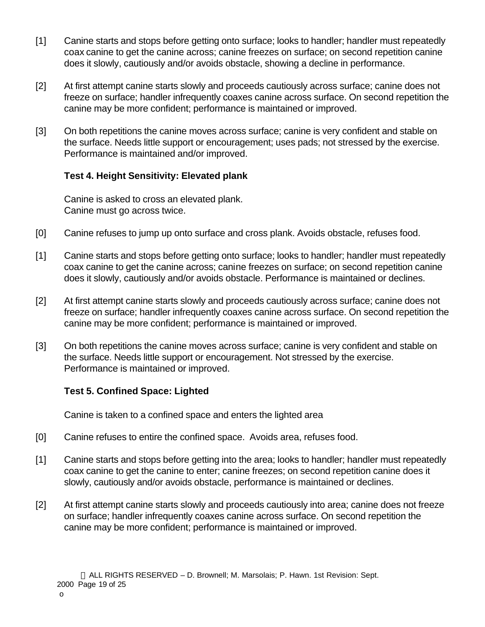- [1] Canine starts and stops before getting onto surface; looks to handler; handler must repeatedly coax canine to get the canine across; canine freezes on surface; on second repetition canine does it slowly, cautiously and/or avoids obstacle, showing a decline in performance.
- [2] At first attempt canine starts slowly and proceeds cautiously across surface; canine does not freeze on surface; handler infrequently coaxes canine across surface. On second repetition the canine may be more confident; performance is maintained or improved.
- [3] On both repetitions the canine moves across surface; canine is very confident and stable on the surface. Needs little support or encouragement; uses pads; not stressed by the exercise. Performance is maintained and/or improved.

### **Test 4. Height Sensitivity: Elevated plank**

Canine is asked to cross an elevated plank. Canine must go across twice.

- [0] Canine refuses to jump up onto surface and cross plank. Avoids obstacle, refuses food.
- [1] Canine starts and stops before getting onto surface; looks to handler; handler must repeatedly coax canine to get the canine across; canine freezes on surface; on second repetition canine does it slowly, cautiously and/or avoids obstacle. Performance is maintained or declines.
- [2] At first attempt canine starts slowly and proceeds cautiously across surface; canine does not freeze on surface; handler infrequently coaxes canine across surface. On second repetition the canine may be more confident; performance is maintained or improved.
- [3] On both repetitions the canine moves across surface; canine is very confident and stable on the surface. Needs little support or encouragement. Not stressed by the exercise. Performance is maintained or improved.

### **Test 5. Confined Space: Lighted**

Canine is taken to a confined space and enters the lighted area

- [0] Canine refuses to entire the confined space. Avoids area, refuses food.
- [1] Canine starts and stops before getting into the area; looks to handler; handler must repeatedly coax canine to get the canine to enter; canine freezes; on second repetition canine does it slowly, cautiously and/or avoids obstacle, performance is maintained or declines.
- [2] At first attempt canine starts slowly and proceeds cautiously into area; canine does not freeze on surface; handler infrequently coaxes canine across surface. On second repetition the canine may be more confident; performance is maintained or improved.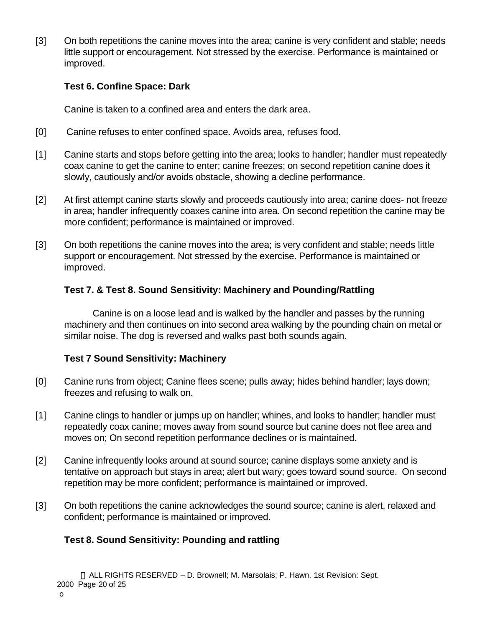[3] On both repetitions the canine moves into the area; canine is very confident and stable; needs little support or encouragement. Not stressed by the exercise. Performance is maintained or improved.

### **Test 6. Confine Space: Dark**

Canine is taken to a confined area and enters the dark area.

- [0] Canine refuses to enter confined space. Avoids area, refuses food.
- [1] Canine starts and stops before getting into the area; looks to handler; handler must repeatedly coax canine to get the canine to enter; canine freezes; on second repetition canine does it slowly, cautiously and/or avoids obstacle, showing a decline performance.
- [2] At first attempt canine starts slowly and proceeds cautiously into area; canine does- not freeze in area; handler infrequently coaxes canine into area. On second repetition the canine may be more confident; performance is maintained or improved.
- [3] On both repetitions the canine moves into the area; is very confident and stable; needs little support or encouragement. Not stressed by the exercise. Performance is maintained or improved.

### **Test 7. & Test 8. Sound Sensitivity: Machinery and Pounding/Rattling**

Canine is on a loose lead and is walked by the handler and passes by the running machinery and then continues on into second area walking by the pounding chain on metal or similar noise. The dog is reversed and walks past both sounds again.

### **Test 7 Sound Sensitivity: Machinery**

- [0] Canine runs from object; Canine flees scene; pulls away; hides behind handler; lays down; freezes and refusing to walk on.
- [1] Canine clings to handler or jumps up on handler; whines, and looks to handler; handler must repeatedly coax canine; moves away from sound source but canine does not flee area and moves on; On second repetition performance declines or is maintained.
- [2] Canine infrequently looks around at sound source; canine displays some anxiety and is tentative on approach but stays in area; alert but wary; goes toward sound source. On second repetition may be more confident; performance is maintained or improved.
- [3] On both repetitions the canine acknowledges the sound source; canine is alert, relaxed and confident; performance is maintained or improved.

## **Test 8. Sound Sensitivity: Pounding and rattling**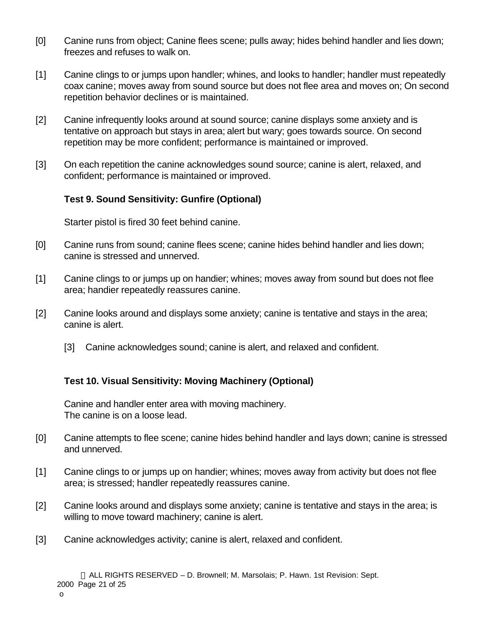- [0] Canine runs from object; Canine flees scene; pulls away; hides behind handler and lies down; freezes and refuses to walk on.
- [1] Canine clings to or jumps upon handler; whines, and looks to handler; handler must repeatedly coax canine; moves away from sound source but does not flee area and moves on; On second repetition behavior declines or is maintained.
- [2] Canine infrequently looks around at sound source; canine displays some anxiety and is tentative on approach but stays in area; alert but wary; goes towards source. On second repetition may be more confident; performance is maintained or improved.
- [3] On each repetition the canine acknowledges sound source; canine is alert, relaxed, and confident; performance is maintained or improved.

### **Test 9. Sound Sensitivity: Gunfire (Optional)**

Starter pistol is fired 30 feet behind canine.

- [0] Canine runs from sound; canine flees scene; canine hides behind handler and lies down; canine is stressed and unnerved.
- [1] Canine clings to or jumps up on handier; whines; moves away from sound but does not flee area; handier repeatedly reassures canine.
- [2] Canine looks around and displays some anxiety; canine is tentative and stays in the area; canine is alert.
	- [3] Canine acknowledges sound; canine is alert, and relaxed and confident.

### **Test 10. Visual Sensitivity: Moving Machinery (Optional)**

Canine and handler enter area with moving machinery. The canine is on a loose lead.

- [0] Canine attempts to flee scene; canine hides behind handler and lays down; canine is stressed and unnerved.
- [1] Canine clings to or jumps up on handier; whines; moves away from activity but does not flee area; is stressed; handler repeatedly reassures canine.
- [2] Canine looks around and displays some anxiety; canine is tentative and stays in the area; is willing to move toward machinery; canine is alert.
- [3] Canine acknowledges activity; canine is alert, relaxed and confident.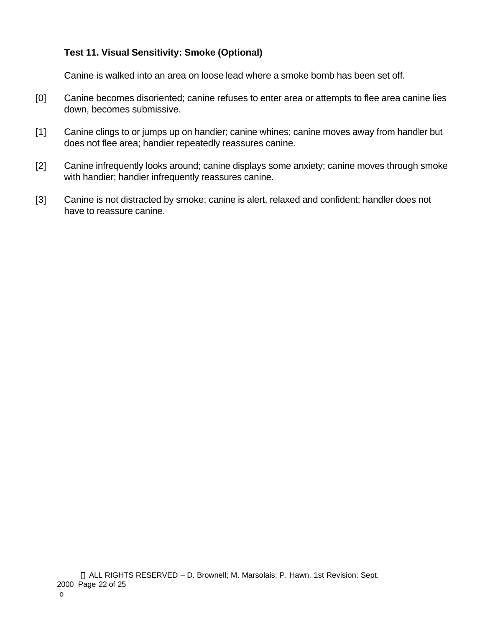### **Test 11. Visual Sensitivity: Smoke (Optional)**

Canine is walked into an area on loose lead where a smoke bomb has been set off.

- [0] Canine becomes disoriented; canine refuses to enter area or attempts to flee area canine lies down, becomes submissive.
- [1] Canine clings to or jumps up on handier; canine whines; canine moves away from handler but does not flee area; handier repeatedly reassures canine.
- [2] Canine infrequently looks around; canine displays some anxiety; canine moves through smoke with handier; handier infrequently reassures canine.
- [3] Canine is not distracted by smoke; canine is alert, relaxed and confident; handler does not have to reassure canine.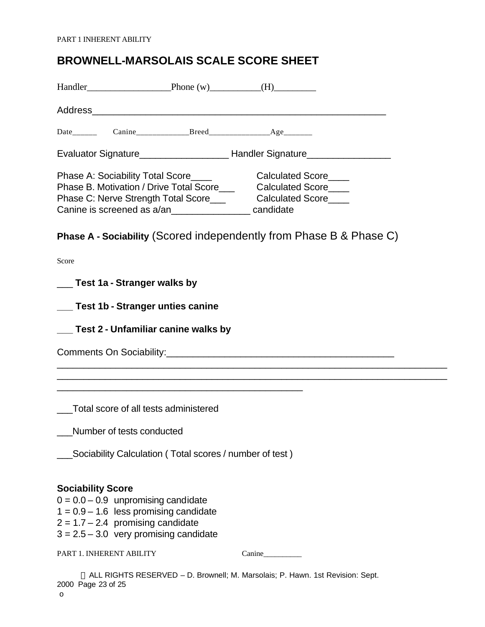## **BROWNELL-MARSOLAIS SCALE SCORE SHEET**

| Handler Phone (w) (H)                                                                                                                                                                                       |                                                                                                                       |        |  |
|-------------------------------------------------------------------------------------------------------------------------------------------------------------------------------------------------------------|-----------------------------------------------------------------------------------------------------------------------|--------|--|
|                                                                                                                                                                                                             |                                                                                                                       |        |  |
| Date Canine Breed Breed Age                                                                                                                                                                                 |                                                                                                                       |        |  |
|                                                                                                                                                                                                             |                                                                                                                       |        |  |
| Phase B. Motivation / Drive Total Score_________ Calculated Score_____<br>Phase C: Nerve Strength Total Score_____________Calculated Score____<br>Canine is screened as a/an_____________________ candidate |                                                                                                                       |        |  |
| <b>Phase A - Sociability (Scored independently from Phase B &amp; Phase C)</b>                                                                                                                              |                                                                                                                       |        |  |
| Score                                                                                                                                                                                                       |                                                                                                                       |        |  |
| ___ Test 1a - Stranger walks by                                                                                                                                                                             |                                                                                                                       |        |  |
| __ Test 1b - Stranger unties canine                                                                                                                                                                         |                                                                                                                       |        |  |
| ___ Test 2 - Unfamiliar canine walks by                                                                                                                                                                     |                                                                                                                       |        |  |
|                                                                                                                                                                                                             |                                                                                                                       |        |  |
|                                                                                                                                                                                                             | <u> 1989 - Johann John Stoff, deutscher Stoffen und der Stoffen und der Stoffen und der Stoffen und der Stoffen u</u> |        |  |
| Total score of all tests administered                                                                                                                                                                       |                                                                                                                       |        |  |
| Number of tests conducted                                                                                                                                                                                   |                                                                                                                       |        |  |
|                                                                                                                                                                                                             | Sociability Calculation (Total scores / number of test)                                                               |        |  |
| <b>Sociability Score</b><br>$0 = 0.0 - 0.9$ unpromising candidate<br>$1 = 0.9 - 1.6$ less promising candidate<br>$2 = 1.7 - 2.4$ promising candidate<br>$3 = 2.5 - 3.0$ very promising candidate            |                                                                                                                       |        |  |
| PART 1. INHERENT ABILITY                                                                                                                                                                                    |                                                                                                                       | Canine |  |

 ALL RIGHTS RESERVED – D. Brownell; M. Marsolais; P. Hawn. 1st Revision: Sept. 2000 Page 23 of 25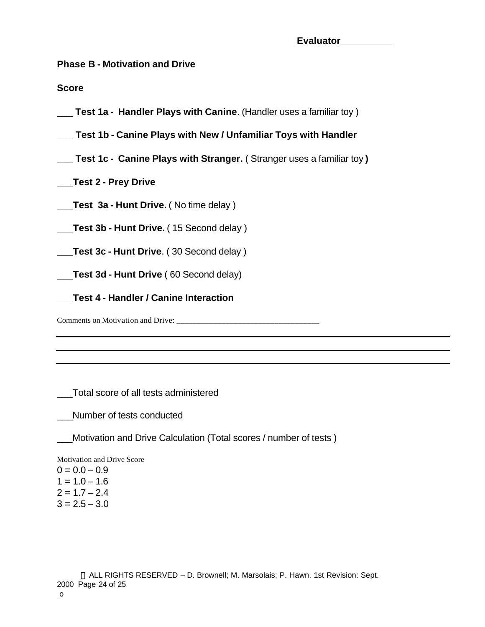| Evaluator |  |
|-----------|--|
|           |  |

**Phase B - Motivation and Drive**

**Score**

- \_\_\_ **Test 1a Handler Plays with Canine**. (Handler uses a familiar toy )
- **\_\_\_ Test 1b Canine Plays with New / Unfamiliar Toys with Handler**
- **\_\_\_ Test 1c Canine Plays with Stranger.** ( Stranger uses a familiar toy **)**
- **\_\_\_Test 2 Prey Drive**
- **\_\_\_Test 3a Hunt Drive.** ( No time delay )
- **\_\_\_Test 3b Hunt Drive.** ( 15 Second delay )
- **\_\_\_Test 3c Hunt Drive**. ( 30 Second delay )
- \_\_\_**Test 3d Hunt Drive** ( 60 Second delay)
	- **\_\_\_Test 4 Handler / Canine Interaction**
- Comments on Motivation and Drive: \_\_\_\_\_\_\_\_\_\_\_\_\_\_\_\_\_\_\_\_\_\_\_\_\_\_\_\_\_\_\_\_\_\_\_

\_\_\_Total score of all tests administered

\_\_\_Number of tests conducted

\_\_\_Motivation and Drive Calculation (Total scores / number of tests )

Motivation and Drive Score

 $0 = 0.0 - 0.9$  $1 = 1.0 - 1.6$  $2 = 1.7 - 2.4$  $3 = 2.5 - 3.0$